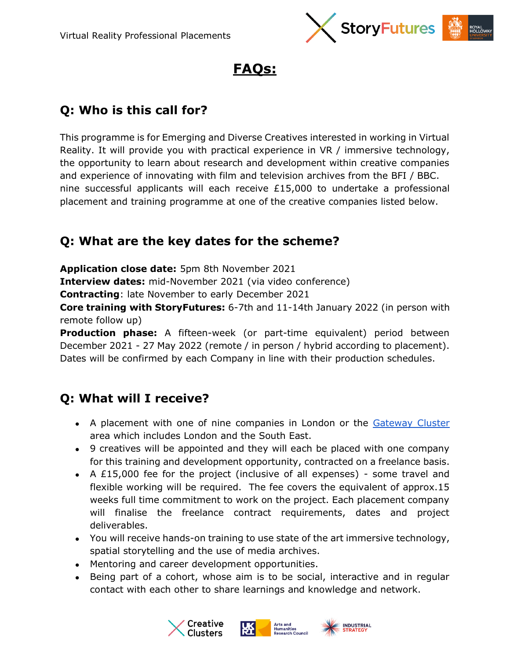



### **Q: Who is this call for?**

This programme is for Emerging and Diverse Creatives interested in working in Virtual Reality. It will provide you with practical experience in VR / immersive technology, the opportunity to learn about research and development within creative companies and experience of innovating with film and television archives from the BFI / BBC. nine successful applicants will each receive  $£15,000$  to undertake a professional placement and training programme at one of the creative companies listed below.

#### **Q: What are the key dates for the scheme?**

**Application close date:** 5pm 8th November 2021

**Interview dates:** mid-November 2021 (via video conference)

**Contracting**: late November to early December 2021

**Core training with StoryFutures:** 6-7th and 11-14th January 2022 (in person with remote follow up)

**Production phase:** A fifteen-week (or part-time equivalent) period between December 2021 - 27 May 2022 (remote / in person / hybrid according to placement). Dates will be confirmed by each Company in line with their production schedules.

#### **Q: What will I receive?**

- A placement with one of nine companies in London or the [Gateway Cluster](https://www.storyfutures.com/creative-cluster) area which includes London and the South East.
- 9 creatives will be appointed and they will each be placed with one company for this training and development opportunity, contracted on a freelance basis.
- A £15,000 fee for the project (inclusive of all expenses) some travel and flexible working will be required. The fee covers the equivalent of approx.15 weeks full time commitment to work on the project. Each placement company will finalise the freelance contract requirements, dates and project deliverables.
- You will receive hands-on training to use state of the art immersive technology, spatial storytelling and the use of media archives.
- Mentoring and career development opportunities.
- Being part of a cohort, whose aim is to be social, interactive and in regular contact with each other to share learnings and knowledge and network.





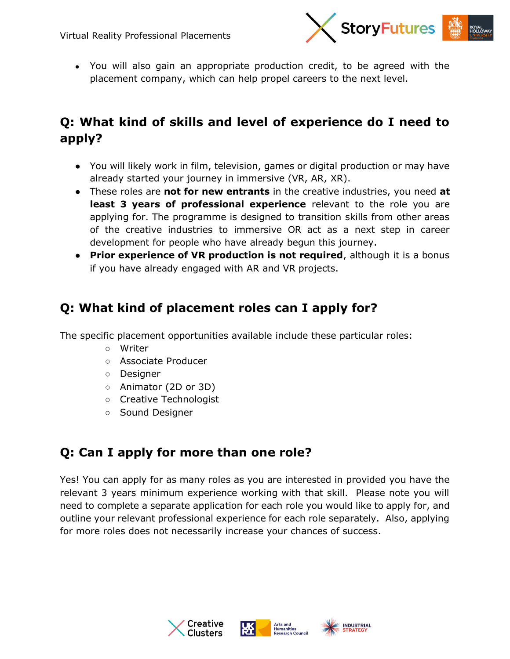

• You will also gain an appropriate production credit, to be agreed with the placement company, which can help propel careers to the next level.

# **Q: What kind of skills and level of experience do I need to apply?**

- You will likely work in film, television, games or digital production or may have already started your journey in immersive (VR, AR, XR).
- These roles are **not for new entrants** in the creative industries, you need **at least 3 years of professional experience** relevant to the role you are applying for. The programme is designed to transition skills from other areas of the creative industries to immersive OR act as a next step in career development for people who have already begun this journey.
- **Prior experience of VR production is not required**, although it is a bonus if you have already engaged with AR and VR projects.

#### **Q: What kind of placement roles can I apply for?**

The specific placement opportunities available include these particular roles:

- Writer
- Associate Producer
- Designer
- Animator (2D or 3D)
- Creative Technologist
- Sound Designer

## **Q: Can I apply for more than one role?**

Yes! You can apply for as many roles as you are interested in provided you have the relevant 3 years minimum experience working with that skill. Please note you will need to complete a separate application for each role you would like to apply for, and outline your relevant professional experience for each role separately. Also, applying for more roles does not necessarily increase your chances of success.





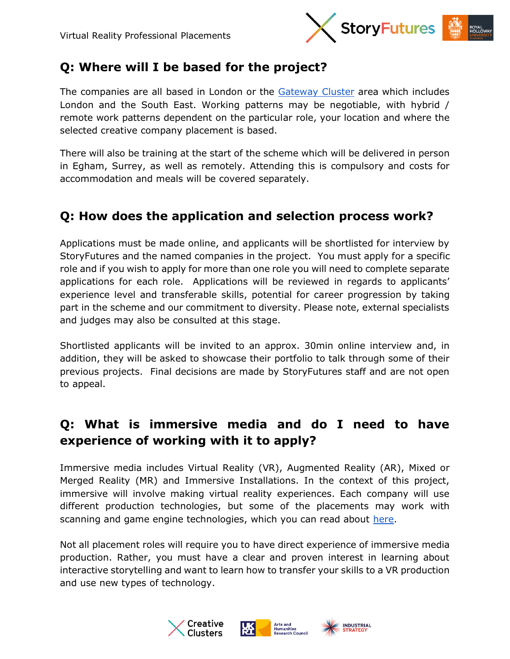

## **Q: Where will I be based for the project?**

The companies are all based in London or the [Gateway Cluster](https://www.storyfutures.com/creative-cluster) area which includes London and the South East. Working patterns may be negotiable, with hybrid / remote work patterns dependent on the particular role, your location and where the selected creative company placement is based.

There will also be training at the start of the scheme which will be delivered in person in Egham, Surrey, as well as remotely. Attending this is compulsory and costs for accommodation and meals will be covered separately.

#### **Q: How does the application and selection process work?**

Applications must be made online, and applicants will be shortlisted for interview by StoryFutures and the named companies in the project. You must apply for a specific role and if you wish to apply for more than one role you will need to complete separate applications for each role. Applications will be reviewed in regards to applicants' experience level and transferable skills, potential for career progression by taking part in the scheme and our commitment to diversity. Please note, external specialists and judges may also be consulted at this stage.

Shortlisted applicants will be invited to an approx. 30min online interview and, in addition, they will be asked to showcase their portfolio to talk through some of their previous projects. Final decisions are made by StoryFutures staff and are not open to appeal.

#### **Q: What is immersive media and do I need to have experience of working with it to apply?**

Immersive media includes Virtual Reality (VR), Augmented Reality (AR), Mixed or Merged Reality (MR) and Immersive Installations. In the context of this project, immersive will involve making virtual reality experiences. Each company will use different production technologies, but some of the placements may work with scanning and game engine technologies, which you can read about [here.](https://www.storyfutures.com/news/skills-report)

Not all placement roles will require you to have direct experience of immersive media production. Rather, you must have a clear and proven interest in learning about interactive storytelling and want to learn how to transfer your skills to a VR production and use new types of technology.





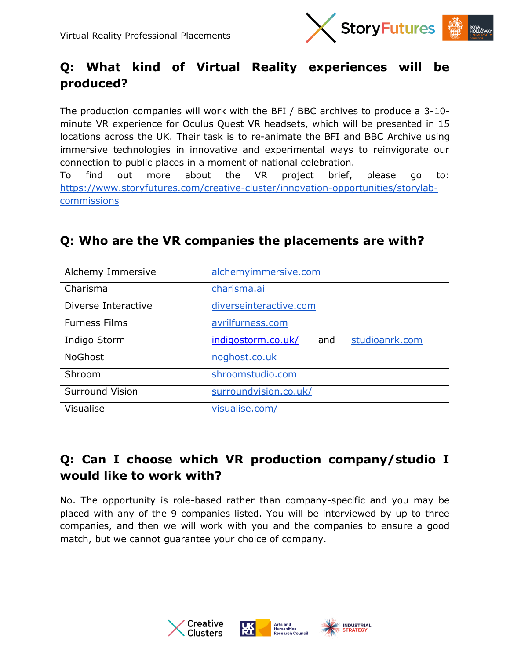

# **Q: What kind of Virtual Reality experiences will be produced?**

The production companies will work with the BFI / BBC archives to produce a 3-10 minute VR experience for Oculus Quest VR headsets, which will be presented in 15 locations across the UK. Their task is to re-animate the BFI and BBC Archive using immersive technologies in innovative and experimental ways to reinvigorate our connection to public places in a moment of national celebration.

To find out more about the VR project brief, please go to: [https://www.storyfutures.com/creative-cluster/innovation-opportunities/storylab](https://www.storyfutures.com/creative-cluster/innovation-opportunities/storylab-commissions)[commissions](https://www.storyfutures.com/creative-cluster/innovation-opportunities/storylab-commissions)

| Alchemy Immersive      | alchemyimmersive.com                        |
|------------------------|---------------------------------------------|
| Charisma               | charisma.ai                                 |
| Diverse Interactive    | diverseinteractive.com                      |
| <b>Furness Films</b>   | avrilfurness.com                            |
| Indigo Storm           | studioanrk.com<br>indigostorm.co.uk/<br>and |
| <b>NoGhost</b>         | noghost.co.uk                               |
| Shroom                 | shroomstudio.com                            |
| <b>Surround Vision</b> | surroundvision.co.uk/                       |
| <b>Visualise</b>       | visualise.com/                              |

#### **Q: Who are the VR companies the placements are with?**

## **Q: Can I choose which VR production company/studio I would like to work with?**

No. The opportunity is role-based rather than company-specific and you may be placed with any of the 9 companies listed. You will be interviewed by up to three companies, and then we will work with you and the companies to ensure a good match, but we cannot guarantee your choice of company.